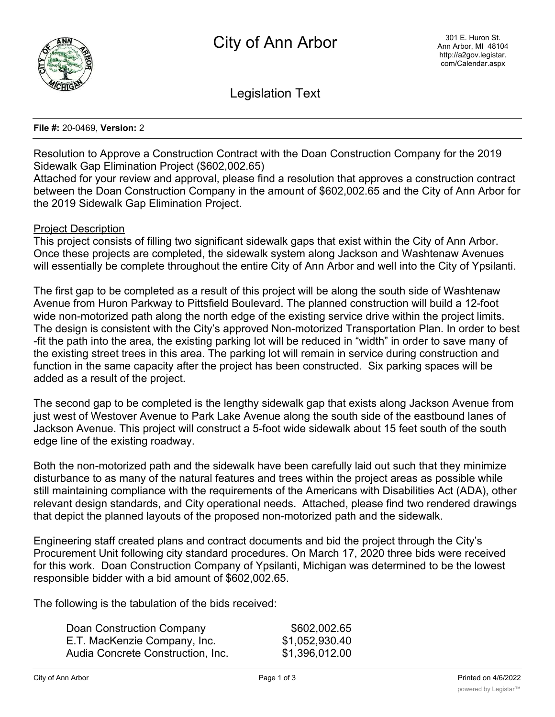

Legislation Text

## **File #:** 20-0469, **Version:** 2

Resolution to Approve a Construction Contract with the Doan Construction Company for the 2019 Sidewalk Gap Elimination Project (\$602,002.65)

Attached for your review and approval, please find a resolution that approves a construction contract between the Doan Construction Company in the amount of \$602,002.65 and the City of Ann Arbor for the 2019 Sidewalk Gap Elimination Project.

## Project Description

This project consists of filling two significant sidewalk gaps that exist within the City of Ann Arbor. Once these projects are completed, the sidewalk system along Jackson and Washtenaw Avenues will essentially be complete throughout the entire City of Ann Arbor and well into the City of Ypsilanti.

The first gap to be completed as a result of this project will be along the south side of Washtenaw Avenue from Huron Parkway to Pittsfield Boulevard. The planned construction will build a 12-foot wide non-motorized path along the north edge of the existing service drive within the project limits. The design is consistent with the City's approved Non-motorized Transportation Plan. In order to best -fit the path into the area, the existing parking lot will be reduced in "width" in order to save many of the existing street trees in this area. The parking lot will remain in service during construction and function in the same capacity after the project has been constructed. Six parking spaces will be added as a result of the project.

The second gap to be completed is the lengthy sidewalk gap that exists along Jackson Avenue from just west of Westover Avenue to Park Lake Avenue along the south side of the eastbound lanes of Jackson Avenue. This project will construct a 5-foot wide sidewalk about 15 feet south of the south edge line of the existing roadway.

Both the non-motorized path and the sidewalk have been carefully laid out such that they minimize disturbance to as many of the natural features and trees within the project areas as possible while still maintaining compliance with the requirements of the Americans with Disabilities Act (ADA), other relevant design standards, and City operational needs. Attached, please find two rendered drawings that depict the planned layouts of the proposed non-motorized path and the sidewalk.

Engineering staff created plans and contract documents and bid the project through the City's Procurement Unit following city standard procedures. On March 17, 2020 three bids were received for this work. Doan Construction Company of Ypsilanti, Michigan was determined to be the lowest responsible bidder with a bid amount of \$602,002.65.

The following is the tabulation of the bids received:

| Doan Construction Company         | \$602,002.65   |
|-----------------------------------|----------------|
| E.T. MacKenzie Company, Inc.      | \$1,052,930.40 |
| Audia Concrete Construction, Inc. | \$1,396,012.00 |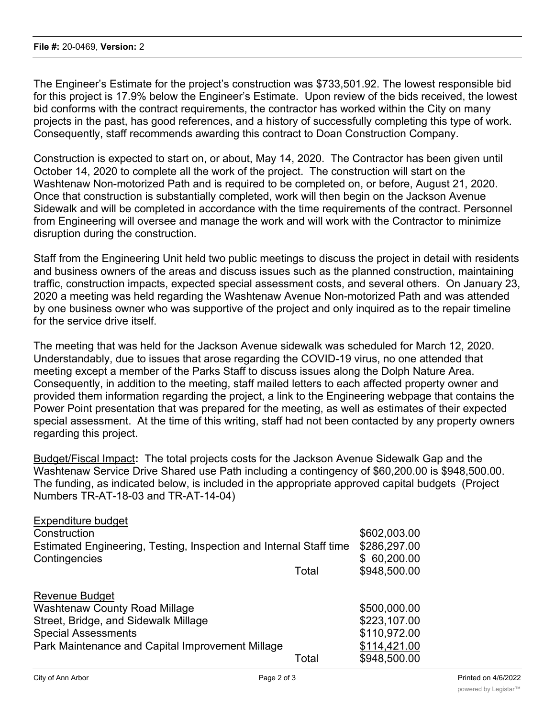The Engineer's Estimate for the project's construction was \$733,501.92. The lowest responsible bid for this project is 17.9% below the Engineer's Estimate. Upon review of the bids received, the lowest bid conforms with the contract requirements, the contractor has worked within the City on many projects in the past, has good references, and a history of successfully completing this type of work. Consequently, staff recommends awarding this contract to Doan Construction Company.

Construction is expected to start on, or about, May 14, 2020. The Contractor has been given until October 14, 2020 to complete all the work of the project. The construction will start on the Washtenaw Non-motorized Path and is required to be completed on, or before, August 21, 2020. Once that construction is substantially completed, work will then begin on the Jackson Avenue Sidewalk and will be completed in accordance with the time requirements of the contract. Personnel from Engineering will oversee and manage the work and will work with the Contractor to minimize disruption during the construction.

Staff from the Engineering Unit held two public meetings to discuss the project in detail with residents and business owners of the areas and discuss issues such as the planned construction, maintaining traffic, construction impacts, expected special assessment costs, and several others. On January 23, 2020 a meeting was held regarding the Washtenaw Avenue Non-motorized Path and was attended by one business owner who was supportive of the project and only inquired as to the repair timeline for the service drive itself

The meeting that was held for the Jackson Avenue sidewalk was scheduled for March 12, 2020. Understandably, due to issues that arose regarding the COVID-19 virus, no one attended that meeting except a member of the Parks Staff to discuss issues along the Dolph Nature Area. Consequently, in addition to the meeting, staff mailed letters to each affected property owner and provided them information regarding the project, a link to the Engineering webpage that contains the Power Point presentation that was prepared for the meeting, as well as estimates of their expected special assessment. At the time of this writing, staff had not been contacted by any property owners regarding this project.

Budget/Fiscal Impact**:** The total projects costs for the Jackson Avenue Sidewalk Gap and the Washtenaw Service Drive Shared use Path including a contingency of \$60,200.00 is \$948,500.00. The funding, as indicated below, is included in the appropriate approved capital budgets (Project Numbers TR-AT-18-03 and TR-AT-14-04)

| <b>Expenditure budget</b>                                                           |       |                                 |
|-------------------------------------------------------------------------------------|-------|---------------------------------|
| Construction                                                                        |       | \$602,003.00                    |
| Estimated Engineering, Testing, Inspection and Internal Staff time<br>Contingencies |       | \$286,297.00<br>60,200.00<br>\$ |
|                                                                                     | Total | \$948,500.00                    |
|                                                                                     |       |                                 |
| <b>Revenue Budget</b>                                                               |       |                                 |
| <b>Washtenaw County Road Millage</b>                                                |       | \$500,000.00                    |
| Street, Bridge, and Sidewalk Millage                                                |       | \$223,107.00                    |
| <b>Special Assessments</b>                                                          |       | \$110,972.00                    |
| Park Maintenance and Capital Improvement Millage                                    |       | \$114,421.00                    |
|                                                                                     | Total | \$948,500.00                    |